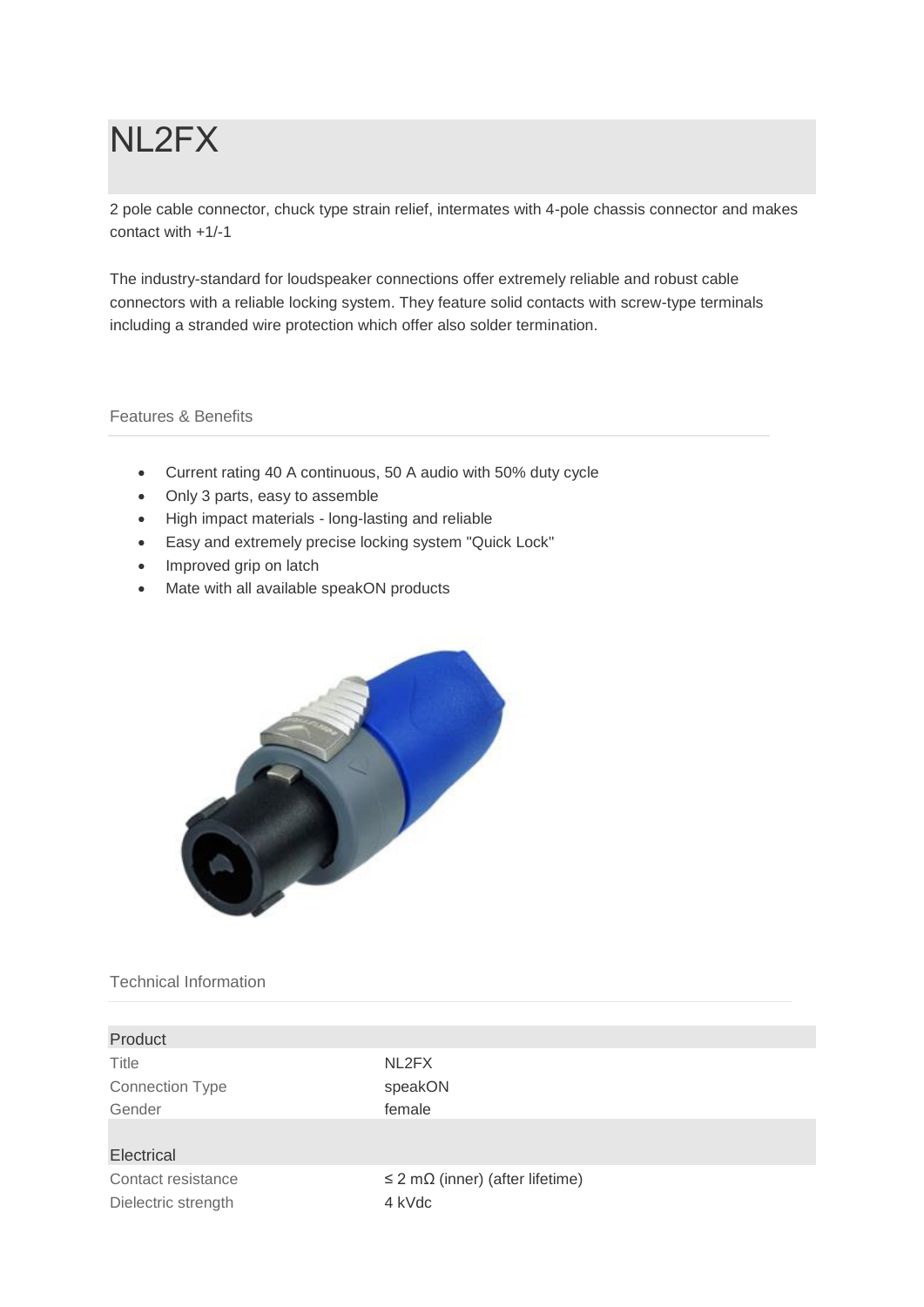# NL2FX

2 pole cable connector, chuck type strain relief, intermates with 4-pole chassis connector and makes contact with +1/-1

The industry-standard for loudspeaker connections offer extremely reliable and robust cable connectors with a reliable locking system. They feature solid contacts with screw-type terminals including a stranded wire protection which offer also solder termination.

# Features & Benefits

- Current rating 40 A continuous, 50 A audio with 50% duty cycle
- Only 3 parts, easy to assemble
- High impact materials long-lasting and reliable
- Easy and extremely precise locking system "Quick Lock"
- Improved grip on latch
- Mate with all available speakON products



# Technical Information

| Product                |                                              |
|------------------------|----------------------------------------------|
| Title                  | NL2FX                                        |
| <b>Connection Type</b> | speakON                                      |
| Gender                 | female                                       |
|                        |                                              |
| Electrical             |                                              |
| Contact resistance     | $\leq$ 2 m $\Omega$ (inner) (after lifetime) |
| Dielectric strength    | 4 kVdc                                       |
|                        |                                              |